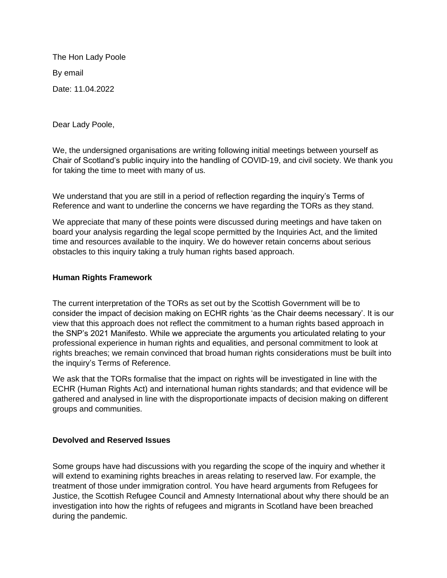The Hon Lady Poole By email Date: 11.04.2022

Dear Lady Poole,

We, the undersigned organisations are writing following initial meetings between yourself as Chair of Scotland's public inquiry into the handling of COVID-19, and civil society. We thank you for taking the time to meet with many of us.

We understand that you are still in a period of reflection regarding the inquiry's Terms of Reference and want to underline the concerns we have regarding the TORs as they stand.

We appreciate that many of these points were discussed during meetings and have taken on board your analysis regarding the legal scope permitted by the Inquiries Act, and the limited time and resources available to the inquiry. We do however retain concerns about serious obstacles to this inquiry taking a truly human rights based approach.

## **Human Rights Framework**

The current interpretation of the TORs as set out by the Scottish Government will be to consider the impact of decision making on ECHR rights 'as the Chair deems necessary'. It is our view that this approach does not reflect the commitment to a human rights based approach in the SNP's 2021 Manifesto. While we appreciate the arguments you articulated relating to your professional experience in human rights and equalities, and personal commitment to look at rights breaches; we remain convinced that broad human rights considerations must be built into the inquiry's Terms of Reference.

We ask that the TORs formalise that the impact on rights will be investigated in line with the ECHR (Human Rights Act) and international human rights standards; and that evidence will be gathered and analysed in line with the disproportionate impacts of decision making on different groups and communities.

## **Devolved and Reserved Issues**

Some groups have had discussions with you regarding the scope of the inquiry and whether it will extend to examining rights breaches in areas relating to reserved law. For example, the treatment of those under immigration control. You have heard arguments from Refugees for Justice, the Scottish Refugee Council and Amnesty International about why there should be an investigation into how the rights of refugees and migrants in Scotland have been breached during the pandemic.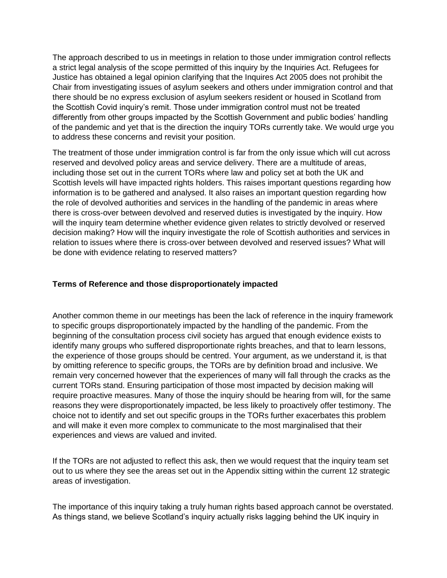The approach described to us in meetings in relation to those under immigration control reflects a strict legal analysis of the scope permitted of this inquiry by the Inquiries Act. Refugees for Justice has obtained a legal opinion clarifying that the Inquires Act 2005 does not prohibit the Chair from investigating issues of asylum seekers and others under immigration control and that there should be no express exclusion of asylum seekers resident or housed in Scotland from the Scottish Covid inquiry's remit. Those under immigration control must not be treated differently from other groups impacted by the Scottish Government and public bodies' handling of the pandemic and yet that is the direction the inquiry TORs currently take. We would urge you to address these concerns and revisit your position.

The treatment of those under immigration control is far from the only issue which will cut across reserved and devolved policy areas and service delivery. There are a multitude of areas, including those set out in the current TORs where law and policy set at both the UK and Scottish levels will have impacted rights holders. This raises important questions regarding how information is to be gathered and analysed. It also raises an important question regarding how the role of devolved authorities and services in the handling of the pandemic in areas where there is cross-over between devolved and reserved duties is investigated by the inquiry. How will the inquiry team determine whether evidence given relates to strictly devolved or reserved decision making? How will the inquiry investigate the role of Scottish authorities and services in relation to issues where there is cross-over between devolved and reserved issues? What will be done with evidence relating to reserved matters?

## **Terms of Reference and those disproportionately impacted**

Another common theme in our meetings has been the lack of reference in the inquiry framework to specific groups disproportionately impacted by the handling of the pandemic. From the beginning of the consultation process civil society has argued that enough evidence exists to identify many groups who suffered disproportionate rights breaches, and that to learn lessons, the experience of those groups should be centred. Your argument, as we understand it, is that by omitting reference to specific groups, the TORs are by definition broad and inclusive. We remain very concerned however that the experiences of many will fall through the cracks as the current TORs stand. Ensuring participation of those most impacted by decision making will require proactive measures. Many of those the inquiry should be hearing from will, for the same reasons they were disproportionately impacted, be less likely to proactively offer testimony. The choice not to identify and set out specific groups in the TORs further exacerbates this problem and will make it even more complex to communicate to the most marginalised that their experiences and views are valued and invited.

If the TORs are not adjusted to reflect this ask, then we would request that the inquiry team set out to us where they see the areas set out in the Appendix sitting within the current 12 strategic areas of investigation.

The importance of this inquiry taking a truly human rights based approach cannot be overstated. As things stand, we believe Scotland's inquiry actually risks lagging behind the UK inquiry in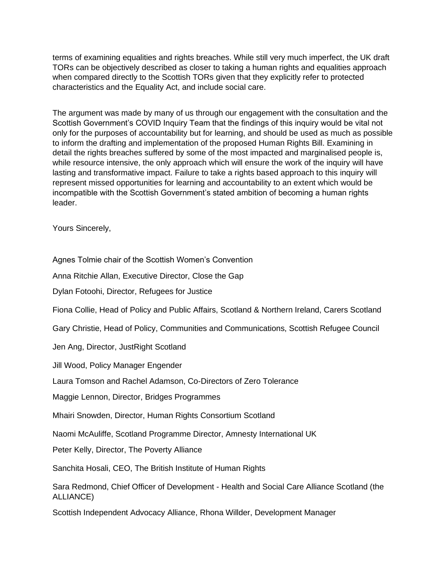terms of examining equalities and rights breaches. While still very much imperfect, the UK draft TORs can be objectively described as closer to taking a human rights and equalities approach when compared directly to the Scottish TORs given that they explicitly refer to protected characteristics and the Equality Act, and include social care.

The argument was made by many of us through our engagement with the consultation and the Scottish Government's COVID Inquiry Team that the findings of this inquiry would be vital not only for the purposes of accountability but for learning, and should be used as much as possible to inform the drafting and implementation of the proposed Human Rights Bill. Examining in detail the rights breaches suffered by some of the most impacted and marginalised people is, while resource intensive, the only approach which will ensure the work of the inquiry will have lasting and transformative impact. Failure to take a rights based approach to this inquiry will represent missed opportunities for learning and accountability to an extent which would be incompatible with the Scottish Government's stated ambition of becoming a human rights leader.

Yours Sincerely,

Agnes Tolmie chair of the Scottish Women's Convention

Anna Ritchie Allan, Executive Director, Close the Gap

Dylan Fotoohi, Director, Refugees for Justice

Fiona Collie, Head of Policy and Public Affairs, Scotland & Northern Ireland, Carers Scotland

Gary Christie, Head of Policy, Communities and Communications, Scottish Refugee Council

Jen Ang, Director, JustRight Scotland

Jill Wood, Policy Manager Engender

Laura Tomson and Rachel Adamson, Co-Directors of Zero Tolerance

Maggie Lennon, Director, Bridges Programmes

Mhairi Snowden, Director, Human Rights Consortium Scotland

Naomi McAuliffe, Scotland Programme Director, Amnesty International UK

Peter Kelly, Director, The Poverty Alliance

Sanchita Hosali, CEO, The British Institute of Human Rights

Sara Redmond, Chief Officer of Development - Health and Social Care Alliance Scotland (the ALLIANCE)

Scottish Independent Advocacy Alliance, Rhona Willder, Development Manager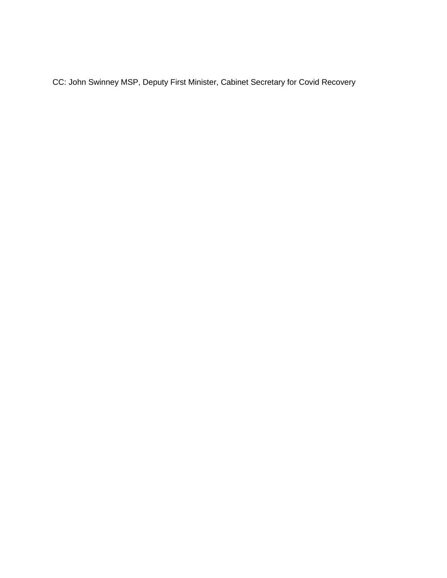CC: John Swinney MSP, Deputy First Minister, Cabinet Secretary for Covid Recovery